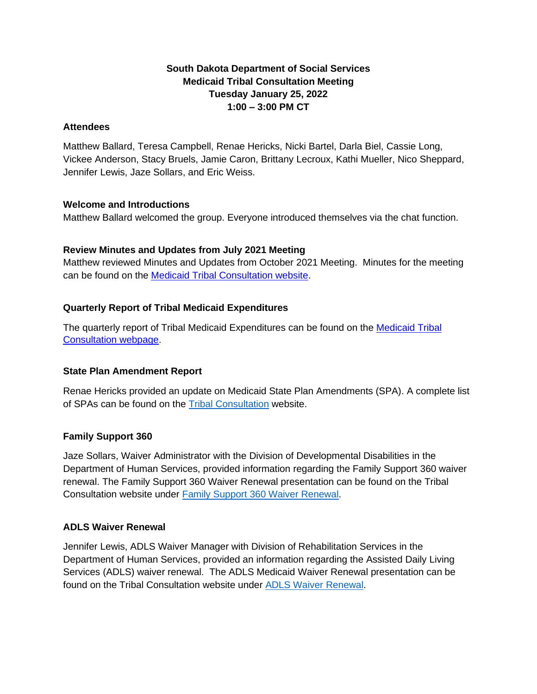# **South Dakota Department of Social Services Medicaid Tribal Consultation Meeting Tuesday January 25, 2022 1:00 – 3:00 PM CT**

### **Attendees**

Matthew Ballard, Teresa Campbell, Renae Hericks, Nicki Bartel, Darla Biel, Cassie Long, Vickee Anderson, Stacy Bruels, Jamie Caron, Brittany Lecroux, Kathi Mueller, Nico Sheppard, Jennifer Lewis, Jaze Sollars, and Eric Weiss.

#### **Welcome and Introductions**

Matthew Ballard welcomed the group. Everyone introduced themselves via the chat function.

### **Review Minutes and Updates from July 2021 Meeting**

Matthew reviewed Minutes and Updates from October 2021 Meeting. Minutes for the meeting can be found on the [Medicaid Tribal Consultation website.](https://dss.sd.gov/medicaid/generalinfo/tribalconsultation.aspx)

## **Quarterly Report of Tribal Medicaid Expenditures**

The quarterly report of Tribal Medicaid Expenditures can be found on the **Medicaid Tribal** [Consultation webpage.](https://dss.sd.gov/medicaid/generalinfo/tribalconsultation.aspx)

### **State Plan Amendment Report**

Renae Hericks provided an update on Medicaid State Plan Amendments (SPA). A complete list of SPAs can be found on the [Tribal Consultation](https://dss.sd.gov/medicaid/generalinfo/tribalconsultation.aspx) website.

### **Family Support 360**

Jaze Sollars, Waiver Administrator with the Division of Developmental Disabilities in the Department of Human Services, provided information regarding the Family Support 360 waiver renewal. The Family Support 360 Waiver Renewal presentation can be found on the Tribal Consultation website under [Family Support 360 Waiver Renewal.](https://dss.sd.gov/docs/medicaid/general_info/tribal/2022/01_25_22/Family_Support_360_Waiver_Renewal.pdf)

### **ADLS Waiver Renewal**

Jennifer Lewis, ADLS Waiver Manager with Division of Rehabilitation Services in the Department of Human Services, provided an information regarding the Assisted Daily Living Services (ADLS) waiver renewal. The ADLS Medicaid Waiver Renewal presentation can be found on the Tribal Consultation website under [ADLS Waiver Renewal.](https://dss.sd.gov/docs/medicaid/general_info/tribal/2022/01_25_22/ADLS_Waiver_Renewal.pdf)